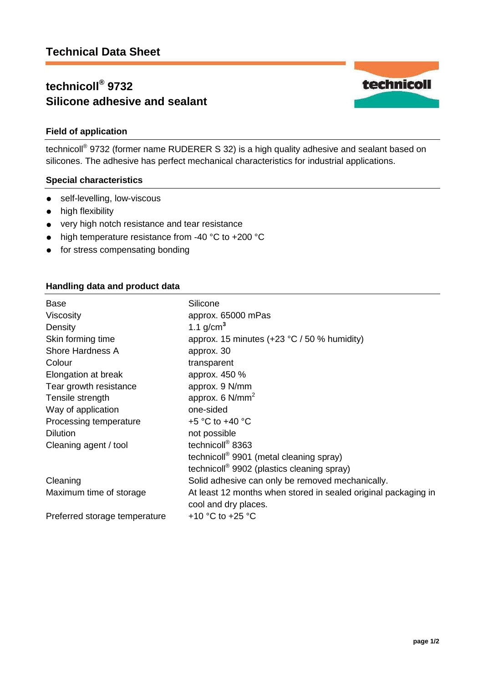# **technicoll® 9732 Silicone adhesive and sealant**

# **Field of application**

technicoll<sup>®</sup> 9732 (former name RUDERER S 32) is a high quality adhesive and sealant based on silicones. The adhesive has perfect mechanical characteristics for industrial applications.

# **Special characteristics**

- self-levelling, low-viscous
- high flexibility
- very high notch resistance and tear resistance
- high temperature resistance from -40 °C to +200 °C
- **•** for stress compensating bonding

# **Handling data and product data**

| Base                          | Silicone                                                       |
|-------------------------------|----------------------------------------------------------------|
| <b>Viscosity</b>              | approx. 65000 mPas                                             |
| Density                       | 1.1 $g/cm^3$                                                   |
| Skin forming time             | approx. 15 minutes $(+23 °C / 50 %$ humidity)                  |
| <b>Shore Hardness A</b>       | approx. 30                                                     |
| Colour                        | transparent                                                    |
| Elongation at break           | approx. 450 %                                                  |
| Tear growth resistance        | approx. 9 N/mm                                                 |
| Tensile strength              | approx. $6 \text{ N/mm}^2$                                     |
| Way of application            | one-sided                                                      |
| Processing temperature        | +5 $\degree$ C to +40 $\degree$ C                              |
| <b>Dilution</b>               | not possible                                                   |
| Cleaning agent / tool         | technicoll <sup>®</sup> 8363                                   |
|                               | technicoll <sup>®</sup> 9901 (metal cleaning spray)            |
|                               | technicoll <sup>®</sup> 9902 (plastics cleaning spray)         |
| Cleaning                      | Solid adhesive can only be removed mechanically.               |
| Maximum time of storage       | At least 12 months when stored in sealed original packaging in |
|                               | cool and dry places.                                           |
| Preferred storage temperature | +10 $^{\circ}$ C to +25 $^{\circ}$ C                           |

technicoll